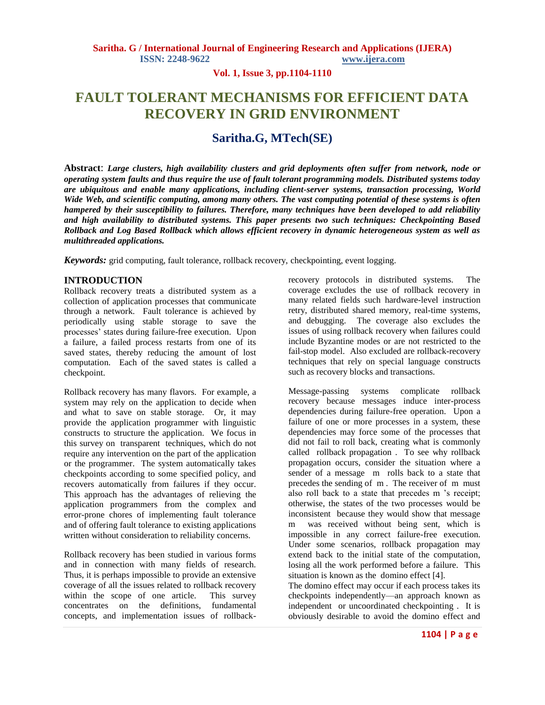**Vol. 1, Issue 3, pp.1104-1110**

# **FAULT TOLERANT MECHANISMS FOR EFFICIENT DATA RECOVERY IN GRID ENVIRONMENT**

## **Saritha.G, MTech(SE)**

**Abstract**: *Large clusters, high availability clusters and grid deployments often suffer from network, node or operating system faults and thus require the use of fault tolerant programming models. Distributed systems today are ubiquitous and enable many applications, including client-server systems, transaction processing, World Wide Web, and scientific computing, among many others. The vast computing potential of these systems is often hampered by their susceptibility to failures. Therefore, many techniques have been developed to add reliability and high availability to distributed systems. This paper presents two such techniques: Checkpointing Based Rollback and Log Based Rollback which allows efficient recovery in dynamic heterogeneous system as well as multithreaded applications.*

*Keywords:* grid computing, fault tolerance, rollback recovery, checkpointing, event logging.

#### **INTRODUCTION**

Rollback recovery treats a distributed system as a collection of application processes that communicate through a network. Fault tolerance is achieved by periodically using stable storage to save the processes' states during failure-free execution. Upon a failure, a failed process restarts from one of its saved states, thereby reducing the amount of lost computation. Each of the saved states is called a checkpoint.

Rollback recovery has many flavors. For example, a system may rely on the application to decide when and what to save on stable storage. Or, it may provide the application programmer with linguistic constructs to structure the application. We focus in this survey on transparent techniques, which do not require any intervention on the part of the application or the programmer. The system automatically takes checkpoints according to some specified policy, and recovers automatically from failures if they occur. This approach has the advantages of relieving the application programmers from the complex and error-prone chores of implementing fault tolerance and of offering fault tolerance to existing applications written without consideration to reliability concerns.

Rollback recovery has been studied in various forms and in connection with many fields of research. Thus, it is perhaps impossible to provide an extensive coverage of all the issues related to rollback recovery within the scope of one article. This survey concentrates on the definitions, fundamental concepts, and implementation issues of rollbackrecovery protocols in distributed systems. The coverage excludes the use of rollback recovery in many related fields such hardware-level instruction retry, distributed shared memory, real-time systems, and debugging. The coverage also excludes the issues of using rollback recovery when failures could include Byzantine modes or are not restricted to the fail-stop model. Also excluded are rollback-recovery techniques that rely on special language constructs such as recovery blocks and transactions.

Message-passing systems complicate rollback recovery because messages induce inter-process dependencies during failure-free operation. Upon a failure of one or more processes in a system, these dependencies may force some of the processes that did not fail to roll back, creating what is commonly called rollback propagation . To see why rollback propagation occurs, consider the situation where a sender of a message m rolls back to a state that precedes the sending of m . The receiver of m must also roll back to a state that precedes m 's receipt; otherwise, the states of the two processes would be inconsistent because they would show that message m was received without being sent, which is impossible in any correct failure-free execution. Under some scenarios, rollback propagation may extend back to the initial state of the computation, losing all the work performed before a failure. This situation is known as the domino effect [4].

The domino effect may occur if each process takes its checkpoints independently—an approach known as independent or uncoordinated checkpointing . It is obviously desirable to avoid the domino effect and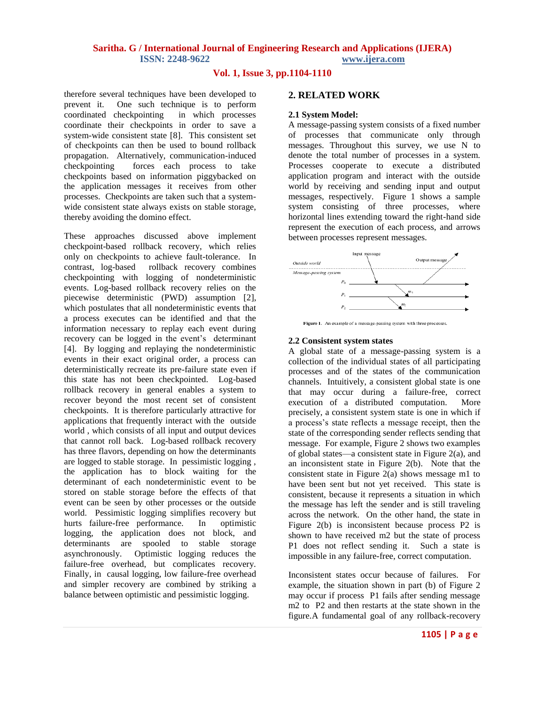### **Vol. 1, Issue 3, pp.1104-1110**

therefore several techniques have been developed to prevent it. One such technique is to perform coordinated checkpointing in which processes coordinate their checkpoints in order to save a system-wide consistent state [8]. This consistent set of checkpoints can then be used to bound rollback propagation. Alternatively, communication-induced checkpointing forces each process to take checkpoints based on information piggybacked on the application messages it receives from other processes. Checkpoints are taken such that a systemwide consistent state always exists on stable storage, thereby avoiding the domino effect.

These approaches discussed above implement checkpoint-based rollback recovery, which relies only on checkpoints to achieve fault-tolerance. In contrast, log-based rollback recovery combines checkpointing with logging of nondeterministic events. Log-based rollback recovery relies on the piecewise deterministic (PWD) assumption [2], which postulates that all nondeterministic events that a process executes can be identified and that the information necessary to replay each event during recovery can be logged in the event's determinant [4]. By logging and replaying the nondeterministic events in their exact original order, a process can deterministically recreate its pre-failure state even if this state has not been checkpointed. Log-based rollback recovery in general enables a system to recover beyond the most recent set of consistent checkpoints. It is therefore particularly attractive for applications that frequently interact with the outside world, which consists of all input and output devices that cannot roll back. Log-based rollback recovery has three flavors, depending on how the determinants are logged to stable storage. In pessimistic logging , the application has to block waiting for the determinant of each nondeterministic event to be stored on stable storage before the effects of that event can be seen by other processes or the outside world. Pessimistic logging simplifies recovery but hurts failure-free performance. In optimistic logging, the application does not block, and determinants are spooled to stable storage asynchronously. Optimistic logging reduces the failure-free overhead, but complicates recovery. Finally, in causal logging, low failure-free overhead and simpler recovery are combined by striking a balance between optimistic and pessimistic logging.

### **2. RELATED WORK**

#### **2.1 System Model:**

A message-passing system consists of a fixed number of processes that communicate only through messages. Throughout this survey, we use N to denote the total number of processes in a system. Processes cooperate to execute a distributed application program and interact with the outside world by receiving and sending input and output messages, respectively. Figure 1 shows a sample system consisting of three processes, where horizontal lines extending toward the right-hand side represent the execution of each process, and arrows between processes represent messages.



Figure 1. An example of a message-passing system with three processes.

#### **2.2 Consistent system states**

A global state of a message-passing system is a collection of the individual states of all participating processes and of the states of the communication channels. Intuitively, a consistent global state is one that may occur during a failure-free, correct execution of a distributed computation. More precisely, a consistent system state is one in which if a process's state reflects a message receipt, then the state of the corresponding sender reflects sending that message. For example, Figure 2 shows two examples of global states—a consistent state in Figure 2(a), and an inconsistent state in Figure 2(b). Note that the consistent state in Figure 2(a) shows message m1 to have been sent but not yet received. This state is consistent, because it represents a situation in which the message has left the sender and is still traveling across the network. On the other hand, the state in Figure 2(b) is inconsistent because process P2 is shown to have received m2 but the state of process P1 does not reflect sending it. Such a state is impossible in any failure-free, correct computation.

Inconsistent states occur because of failures. For example, the situation shown in part (b) of Figure 2 may occur if process P1 fails after sending message m2 to P2 and then restarts at the state shown in the figure.A fundamental goal of any rollback-recovery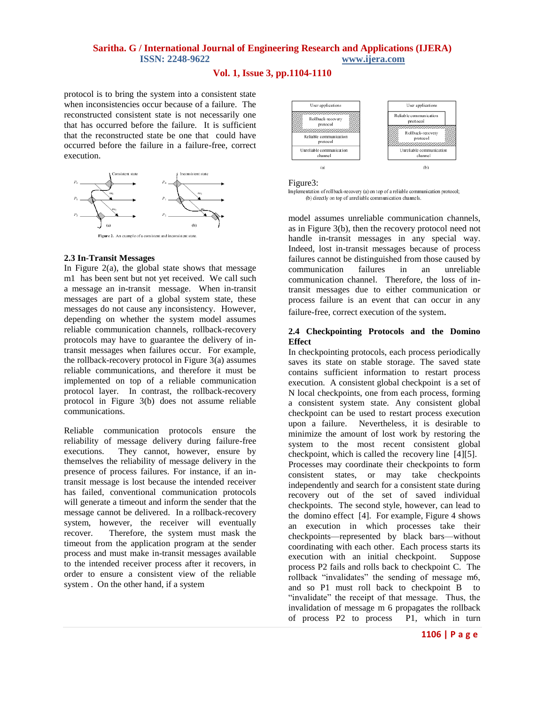### **Vol. 1, Issue 3, pp.1104-1110**

protocol is to bring the system into a consistent state when inconsistencies occur because of a failure. The reconstructed consistent state is not necessarily one that has occurred before the failure. It is sufficient that the reconstructed state be one that could have occurred before the failure in a failure-free, correct execution.



#### **2.3 In-Transit Messages**

In Figure  $2(a)$ , the global state shows that message m1 has been sent but not yet received. We call such a message an in-transit message. When in-transit messages are part of a global system state, these messages do not cause any inconsistency. However, depending on whether the system model assumes reliable communication channels, rollback-recovery protocols may have to guarantee the delivery of intransit messages when failures occur. For example, the rollback-recovery protocol in Figure 3(a) assumes reliable communications, and therefore it must be implemented on top of a reliable communication protocol layer. In contrast, the rollback-recovery protocol in Figure 3(b) does not assume reliable communications.

Reliable communication protocols ensure the reliability of message delivery during failure-free executions. They cannot, however, ensure by themselves the reliability of message delivery in the presence of process failures. For instance, if an intransit message is lost because the intended receiver has failed, conventional communication protocols will generate a timeout and inform the sender that the message cannot be delivered. In a rollback-recovery system, however, the receiver will eventually recover. Therefore, the system must mask the timeout from the application program at the sender process and must make in-transit messages available to the intended receiver process after it recovers, in order to ensure a consistent view of the reliable system . On the other hand, if a system





Figure3:<br>Implementation of rollback-recovery (a) on top of a reliable communication protocol; (b) directly on top of unreliable communication channels.

model assumes unreliable communication channels, as in Figure 3(b), then the recovery protocol need not handle in-transit messages in any special way. Indeed, lost in-transit messages because of process failures cannot be distinguished from those caused by communication failures in an unreliable communication channel. Therefore, the loss of intransit messages due to either communication or process failure is an event that can occur in any failure-free, correct execution of the system.

#### **2.4 Checkpointing Protocols and the Domino Effect**

In checkpointing protocols, each process periodically saves its state on stable storage. The saved state contains sufficient information to restart process execution. A consistent global checkpoint is a set of N local checkpoints, one from each process, forming a consistent system state. Any consistent global checkpoint can be used to restart process execution upon a failure. Nevertheless, it is desirable to minimize the amount of lost work by restoring the system to the most recent consistent global checkpoint, which is called the recovery line [4][5]. Processes may coordinate their checkpoints to form consistent states, or may take checkpoints independently and search for a consistent state during recovery out of the set of saved individual checkpoints. The second style, however, can lead to the domino effect [4]. For example, Figure 4 shows an execution in which processes take their checkpoints—represented by black bars—without coordinating with each other. Each process starts its execution with an initial checkpoint. Suppose process P2 fails and rolls back to checkpoint C. The rollback "invalidates" the sending of message m6, and so P1 must roll back to checkpoint B to "invalidate" the receipt of that message. Thus, the invalidation of message m 6 propagates the rollback of process P2 to process P1, which in turn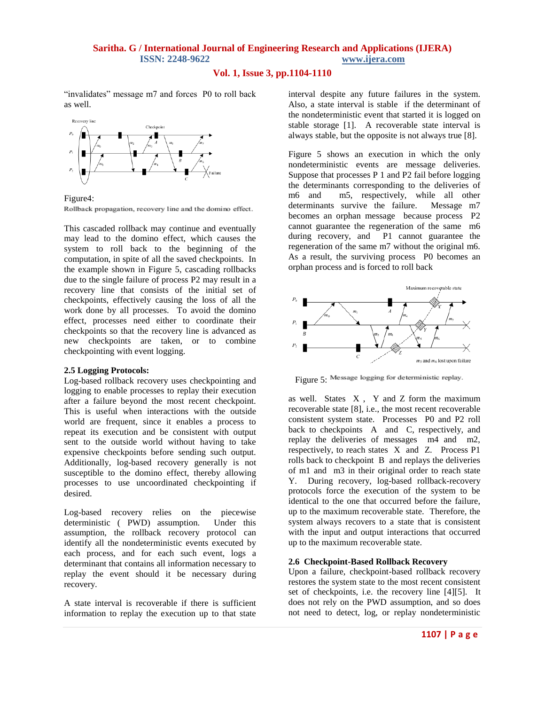### **Vol. 1, Issue 3, pp.1104-1110**

"invalidates" message m7 and forces P0 to roll back as well.



Figure4:

Rollback propagation, recovery line and the domino effect.

This cascaded rollback may continue and eventually may lead to the domino effect, which causes the system to roll back to the beginning of the computation, in spite of all the saved checkpoints. In the example shown in Figure 5, cascading rollbacks due to the single failure of process P2 may result in a recovery line that consists of the initial set of checkpoints, effectively causing the loss of all the work done by all processes. To avoid the domino effect, processes need either to coordinate their checkpoints so that the recovery line is advanced as new checkpoints are taken, or to combine checkpointing with event logging.

#### **2.5 Logging Protocols:**

Log-based rollback recovery uses checkpointing and logging to enable processes to replay their execution after a failure beyond the most recent checkpoint. This is useful when interactions with the outside world are frequent, since it enables a process to repeat its execution and be consistent with output sent to the outside world without having to take expensive checkpoints before sending such output. Additionally, log-based recovery generally is not susceptible to the domino effect, thereby allowing processes to use uncoordinated checkpointing if desired.

Log-based recovery relies on the piecewise deterministic ( PWD) assumption. Under this assumption, the rollback recovery protocol can identify all the nondeterministic events executed by each process, and for each such event, logs a determinant that contains all information necessary to replay the event should it be necessary during recovery.

A state interval is recoverable if there is sufficient information to replay the execution up to that state interval despite any future failures in the system. Also, a state interval is stable if the determinant of the nondeterministic event that started it is logged on stable storage [1]. A recoverable state interval is always stable, but the opposite is not always true [8].

Figure 5 shows an execution in which the only nondeterministic events are message deliveries. Suppose that processes P 1 and P2 fail before logging the determinants corresponding to the deliveries of m6 and m5, respectively, while all other determinants survive the failure. Message m7 becomes an orphan message because process P2 cannot guarantee the regeneration of the same m6 during recovery, and P1 cannot guarantee the regeneration of the same m7 without the original m6. As a result, the surviving process P0 becomes an orphan process and is forced to roll back



Figure 5: Message logging for deterministic replay.

as well. States X , Y and Z form the maximum recoverable state [8], i.e., the most recent recoverable consistent system state. Processes P0 and P2 roll back to checkpoints A and C, respectively, and replay the deliveries of messages m4 and m2, respectively, to reach states X and Z. Process P1 rolls back to checkpoint B and replays the deliveries of m1 and m3 in their original order to reach state Y. During recovery, log-based rollback-recovery protocols force the execution of the system to be identical to the one that occurred before the failure, up to the maximum recoverable state. Therefore, the system always recovers to a state that is consistent with the input and output interactions that occurred up to the maximum recoverable state.

#### **2.6 Checkpoint-Based Rollback Recovery**

Upon a failure, checkpoint-based rollback recovery restores the system state to the most recent consistent set of checkpoints, i.e. the recovery line [4][5]. It does not rely on the PWD assumption, and so does not need to detect, log, or replay nondeterministic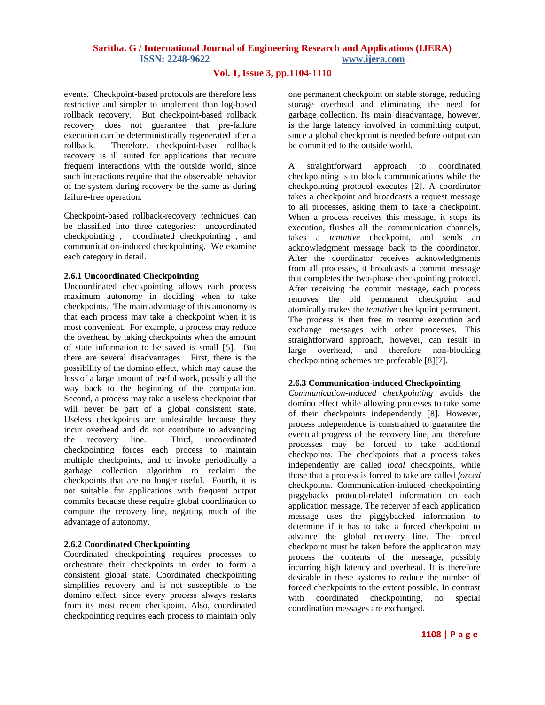### **Vol. 1, Issue 3, pp.1104-1110**

events. Checkpoint-based protocols are therefore less restrictive and simpler to implement than log-based rollback recovery. But checkpoint-based rollback recovery does not guarantee that pre-failure execution can be deterministically regenerated after a rollback. Therefore, checkpoint-based rollback recovery is ill suited for applications that require frequent interactions with the outside world, since such interactions require that the observable behavior of the system during recovery be the same as during failure-free operation.

Checkpoint-based rollback-recovery techniques can be classified into three categories: uncoordinated checkpointing , coordinated checkpointing , and communication-induced checkpointing. We examine each category in detail.

#### **2.6.1 Uncoordinated Checkpointing**

Uncoordinated checkpointing allows each process maximum autonomy in deciding when to take checkpoints. The main advantage of this autonomy is that each process may take a checkpoint when it is most convenient. For example, a process may reduce the overhead by taking checkpoints when the amount of state information to be saved is small [5]. But there are several disadvantages. First, there is the possibility of the domino effect, which may cause the loss of a large amount of useful work, possibly all the way back to the beginning of the computation. Second, a process may take a useless checkpoint that will never be part of a global consistent state. Useless checkpoints are undesirable because they incur overhead and do not contribute to advancing the recovery line. Third, uncoordinated checkpointing forces each process to maintain multiple checkpoints, and to invoke periodically a garbage collection algorithm to reclaim the checkpoints that are no longer useful. Fourth, it is not suitable for applications with frequent output commits because these require global coordination to compute the recovery line, negating much of the advantage of autonomy.

#### **2.6.2 Coordinated Checkpointing**

Coordinated checkpointing requires processes to orchestrate their checkpoints in order to form a consistent global state. Coordinated checkpointing simplifies recovery and is not susceptible to the domino effect, since every process always restarts from its most recent checkpoint. Also, coordinated checkpointing requires each process to maintain only

one permanent checkpoint on stable storage, reducing storage overhead and eliminating the need for garbage collection. Its main disadvantage, however, is the large latency involved in committing output, since a global checkpoint is needed before output can be committed to the outside world.

A straightforward approach to coordinated checkpointing is to block communications while the checkpointing protocol executes [2]. A coordinator takes a checkpoint and broadcasts a request message to all processes, asking them to take a checkpoint. When a process receives this message, it stops its execution, flushes all the communication channels, takes a *tentative* checkpoint, and sends an acknowledgment message back to the coordinator. After the coordinator receives acknowledgments from all processes, it broadcasts a commit message that completes the two-phase checkpointing protocol. After receiving the commit message, each process removes the old permanent checkpoint and atomically makes the *tentative* checkpoint permanent. The process is then free to resume execution and exchange messages with other processes. This straightforward approach, however, can result in large overhead, and therefore non-blocking checkpointing schemes are preferable [8][7].

#### **2.6.3 Communication-induced Checkpointing**

*Communication-induced checkpointing* avoids the domino effect while allowing processes to take some of their checkpoints independently [8]. However, process independence is constrained to guarantee the eventual progress of the recovery line, and therefore processes may be forced to take additional checkpoints. The checkpoints that a process takes independently are called *local* checkpoints, while those that a process is forced to take are called *forced*  checkpoints. Communication-induced checkpointing piggybacks protocol-related information on each application message. The receiver of each application message uses the piggybacked information to determine if it has to take a forced checkpoint to advance the global recovery line. The forced checkpoint must be taken before the application may process the contents of the message, possibly incurring high latency and overhead. It is therefore desirable in these systems to reduce the number of forced checkpoints to the extent possible. In contrast with coordinated checkpointing, no special coordination messages are exchanged.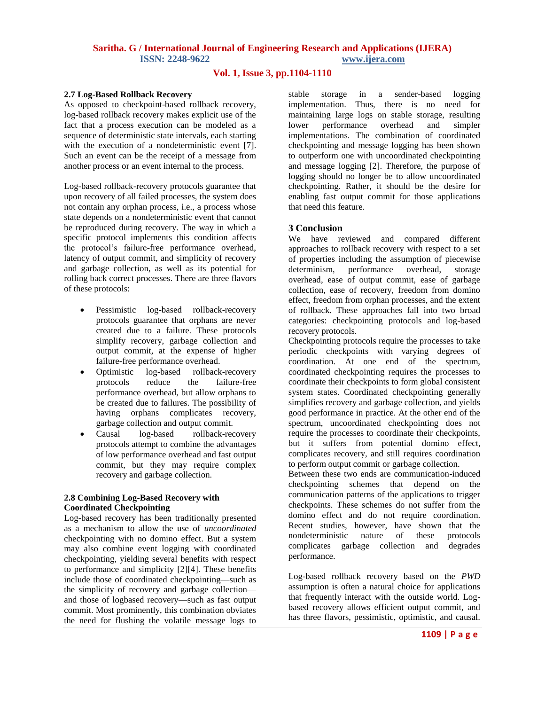### **Vol. 1, Issue 3, pp.1104-1110**

#### **2.7 Log-Based Rollback Recovery**

As opposed to checkpoint-based rollback recovery, log-based rollback recovery makes explicit use of the fact that a process execution can be modeled as a sequence of deterministic state intervals, each starting with the execution of a nondeterministic event [7]. Such an event can be the receipt of a message from another process or an event internal to the process.

Log-based rollback-recovery protocols guarantee that upon recovery of all failed processes, the system does not contain any orphan process, i.e., a process whose state depends on a nondeterministic event that cannot be reproduced during recovery. The way in which a specific protocol implements this condition affects the protocol's failure-free performance overhead, latency of output commit, and simplicity of recovery and garbage collection, as well as its potential for rolling back correct processes. There are three flavors of these protocols:

- Pessimistic log-based rollback-recovery protocols guarantee that orphans are never created due to a failure. These protocols simplify recovery, garbage collection and output commit, at the expense of higher failure-free performance overhead.
- Optimistic log-based rollback-recovery protocols reduce the failure-free performance overhead, but allow orphans to be created due to failures. The possibility of having orphans complicates recovery, garbage collection and output commit.
- Causal log-based rollback-recovery protocols attempt to combine the advantages of low performance overhead and fast output commit, but they may require complex recovery and garbage collection.

#### **2.8 Combining Log-Based Recovery with Coordinated Checkpointing**

Log-based recovery has been traditionally presented as a mechanism to allow the use of *uncoordinated*  checkpointing with no domino effect. But a system may also combine event logging with coordinated checkpointing, yielding several benefits with respect to performance and simplicity [2][4]. These benefits include those of coordinated checkpointing—such as the simplicity of recovery and garbage collection and those of logbased recovery—such as fast output commit. Most prominently, this combination obviates the need for flushing the volatile message logs to

stable storage in a sender-based logging implementation. Thus, there is no need for maintaining large logs on stable storage, resulting lower performance overhead and simpler implementations. The combination of coordinated checkpointing and message logging has been shown to outperform one with uncoordinated checkpointing and message logging [2]. Therefore, the purpose of logging should no longer be to allow uncoordinated checkpointing. Rather, it should be the desire for enabling fast output commit for those applications that need this feature.

### **3 Conclusion**

We have reviewed and compared different approaches to rollback recovery with respect to a set of properties including the assumption of piecewise<br>determinism, performance overhead, storage determinism, performance overhead, storage overhead, ease of output commit, ease of garbage collection, ease of recovery, freedom from domino effect, freedom from orphan processes, and the extent of rollback. These approaches fall into two broad categories: checkpointing protocols and log-based recovery protocols.

Checkpointing protocols require the processes to take periodic checkpoints with varying degrees of coordination. At one end of the spectrum, coordinated checkpointing requires the processes to coordinate their checkpoints to form global consistent system states. Coordinated checkpointing generally simplifies recovery and garbage collection, and yields good performance in practice. At the other end of the spectrum, uncoordinated checkpointing does not require the processes to coordinate their checkpoints, but it suffers from potential domino effect, complicates recovery, and still requires coordination to perform output commit or garbage collection.

Between these two ends are communication-induced checkpointing schemes that depend on the communication patterns of the applications to trigger checkpoints. These schemes do not suffer from the domino effect and do not require coordination. Recent studies, however, have shown that the nondeterministic nature of these protocols complicates garbage collection and degrades performance.

Log-based rollback recovery based on the *PWD*  assumption is often a natural choice for applications that frequently interact with the outside world. Logbased recovery allows efficient output commit, and has three flavors, pessimistic, optimistic, and causal.